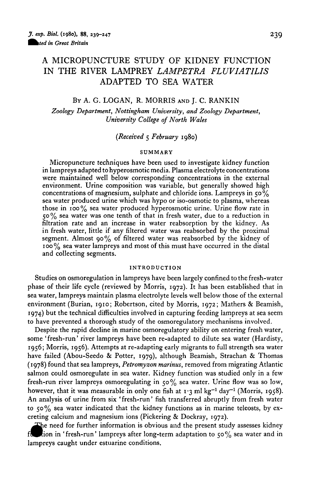# A MICROPUNCTURE STUDY OF KIDNEY FUNCTION IN THE RIVER LAMPREY *LAMPETRA FLUVIATILIS* ADAPTED TO SEA WATER

# BY A. G. LOGAN, R. MORRIS AND J. C. RANKIN

*Zoology Department, Nottingham University, and Zoology Department, University College of North Wales*

*(Received* 5 *February* 1980)

### **SUMMARY**

Micropuncture techniques have been used to investigate kidney function in lampreys adapted to hyperosmotic media. Plasma electrolyte concentrations were maintained well below corresponding concentrations in the external environment. Urine composition was variable, but generally showed high concentrations of magnesium, sulphate and chloride ions. Lampreys in  $50\%$ sea water produced urine which was hypo or iso-osmotic to plasma, whereas those in  $100\%$  sea water produced hyperosmotic urine. Urine flow rate in 50% sea water was one tenth of that in fresh water, due to a reduction in filtration rate and an increase in water reabsorption by the kidney. As in fresh water, little if any filtered water was reabsorbed by the proximal segment. Almost 90% of filtered water was reabsorbed by the kidney of 100% sea water lampreys and most of this must have occurred in the distal and collecting segments.

# **INTRODUCTION**

Studies on osmoregulation in lampreys have been largely confined to the fresh-water phase of their life cycle (reviewed by Morris, 1972). It has been established that in sea water, lampreys maintain plasma electrolyte levels well below those of the external environment (Burian, 1910; Robertson, cited by Morris, 1972; Mathers & Beamish, 1974) but the technical difficulties involved in capturing feeding lampreys at sea seem to have prevented a thorough study of the osmoregulatory mechanisms involved.

Despite the rapid decline in marine osmoregulatory ability on entering fresh water, some 'fresh-run' river lampreys have been re-adapted to dilute sea water (Hardisty, 1956; Morris, 1956). Attempts at re-adapting early migrants to full strength sea water have failed (Abou-Seedo & Potter, 1979), although Beamish, Strachan & Thomas (1978) found that sea lampreys, *Petromyzon marinus,* removed from migrating Atlantic salmon could osmoregulate in sea water. Kidney function was studied only in a few fresh-run river lampreys osmoregulating in  $50\%$  sea water. Urine flow was so low, however, that it was measurable in only one fish at  $1 \cdot 3$  ml kg<sup>-1</sup> day<sup>-1</sup> (Morris, 1958). An analysis of urine from six 'fresh-run' fish transferred abruptly from fresh water to  $50\%$  sea water indicated that the kidney functions as in marine teleosts, by excreting calcium and magnesium ions (Pickering & Dockray, 1972).

The need for further information is obvious and the present study assesses kidney fuction in 'fresh-run' lampreys after long-term adaptation to  $50\%$  sea water and in lampreys caught under estuarine conditions.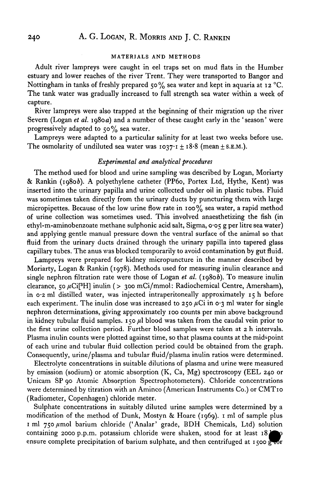## **MATERIALS AND METHODS**

Adult river lampreys were caught in eel traps set on mud flats in the Humber estuary and lower reaches of the river Trent. They were transported to Bangor and Nottingham in tanks of freshly prepared 50% sea water and kept in aquaria at 12 °C. The tank water was gradually increased to full strength sea water within a week of capture.

River lampreys were also trapped at the beginning of their migration up the river Severn (Logan *et al.* 1980*a*) and a number of these caught early in the 'season' were progressively adapted to  $50\%$  sea water.

Lampreys were adapted to a particular salinity for at least two weeks before use. The osmolarity of undiluted sea water was  $1037 \cdot I \pm 18.8$  (mean  $\pm$  S.E.M.).

# *Experimental and analytical procedures*

The method used for blood and urine sampling was described by Logan, Moriarty & Rankin (1980&). A polyethylene catheter (PP60, Portex Ltd, Hythe, Kent) was inserted into the urinary papilla and urine collected under oil in plastic tubes. Fluid was sometimes taken directly from the urinary ducts by puncturing them with large micropipettes. Because of the low urine flow rate in 100% sea water, a rapid method of urine collection was sometimes used. This involved anaesthetizing the fish (in ethyl-m-aminobenzoate methane sulphonic acid salt, Sigma, 0-05 g per litre sea water) and applying gentle manual pressure down the ventral surface of the animal so that fluid from the urinary ducts drained through the urinary papilla into tapered glass capillary tubes. The anus was blocked temporarily to avoid contamination by gut fluid.

Lampreys were prepared for kidney micropuncture in the manner described by Moriarty, Logan & Rankin (1978). Methods used for measuring inulin clearance and single nephron filtration rate were those of Logan *et al.* (19806). To measure inulin clearance, 50  $\mu$ Ci<sup>[3</sup>H] inulin (> 300 mCi/mmol: Radiochemical Centre, Amersham), in 0-2 ml distilled water, was injected intraperitoneally approximately 15 h before each experiment. The inulin dose was increased to 250  $\mu$ Ci in 0.3 ml water for single nephron determinations, giving approximately 100 counts per min above background in kidney tubular fluid samples. 150 */il* blood was taken from the caudal vein prior to the first urine collection period. Further blood samples were taken at 2 h intervals. Plasma inulin counts were plotted against time, so that plasma counts at the mid-point of each urine and tubular fluid collection period could be obtained from the graph. Consequently, urine/plasma and tubular fluid/plasma inulin ratios were determined.

Electrolyte concentrations in suitable dilutions of plasma and urine were measured by emission (sodium) or atomic absorption (K, Ca, Mg) spectroscopy (EEL 240 or Unicam SP 90 Atomic Absorption Spectrophotometers). Chloride concentrations were determined by titration with an Aminco (American Instruments Co.) or CMT10 (Radiometer, Copenhagen) chloride meter.

Sulphate concentrations in suitably diluted urine samples were determined by a modification of the method of Dunk, Mostyn & Hoare (1969). 1 ml of sample plus 1 ml 750 µmol barium chloride ('Analar' grade, BDH Chemicals, Ltd) solution containing 2000 p.p.m. potassium chloride were shaken, stood for at least 18 j ensure complete precipitation of barium sulphate, and then centrifuged at 1500  $\frac{1}{2}$  for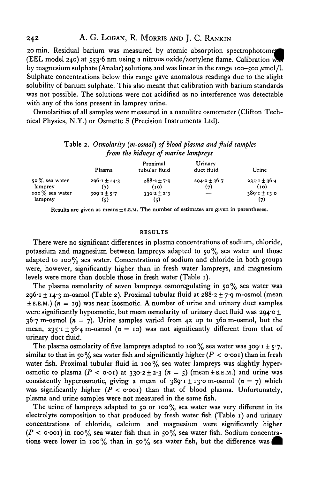20 min. Residual barium was measured by atomic absorption spectrophotomen (EEL model 240) at  $553.6$  nm using a nitrous oxide/acetylene flame. Calibration w. by magnesium sulphate (Analar) solutions and was linear in the range 100-500  $\mu$ mol/l. Sulphate concentrations below this range gave anomalous readings due to the slight solubility of barium sulphate. This also meant that calibration with barium standards was not possible. The solutions were not acidified as no interference was detectable with any of the ions present in lamprey urine.

Osmolarities of all samples were measured in a nanolitre osmometer (Clifton Technical Physics, N.Y.) or Osmette S (Precision Instruments Ltd).

# Table 2. *Osmolarity (m-osmol) of blood plasma and fluid samples from the kidneys of marine lampreys*

|                   | Plasma                       | Proximal<br>tubular fluid | Urinary<br>duct fluid | Urine                    |
|-------------------|------------------------------|---------------------------|-----------------------|--------------------------|
| $50\%$ sea water  | $206 \cdot 1 \pm 14 \cdot 3$ | $288.2 \pm 7.9$           | $294.0 \pm 36.7$      | $235.1 \pm 36.4$<br>(10) |
| lamprey           | (7)                          | (19)                      | (7)                   |                          |
| $100\%$ sea water | $309.1 \pm 5.7$              | $330.2 \pm 2.3$           |                       | $380.1 \pm 13.0$         |
| lamprey           | (5)                          | $\left( 5 \right)$        |                       | (7)                      |

Results are given as means ± S.E.M. The number of estimates are given in parentheses.

### RESULTS

There were no significant differences in plasma concentrations of sodium, chloride, potassium and magnesium between lampreys adapted to  $50\%$  sea water and those adapted to 100% sea water. Concentrations of sodium and chloride in both groups were, however, significantly higher than in fresh water lampreys, and magnesium levels were more than double those in fresh water (Table 1).

The plasma osmolarity of seven lampreys osmoregulating in  $50\%$  sea water was  $296 \cdot i \pm 14 \cdot 3$  m-osmol (Table 2). Proximal tubular fluid at  $288 \cdot 2 \pm 7 \cdot 9$  m-osmol (mean  $\pm$  S.E.M.) ( $n = 19$ ) was near isosmotic. A number of urine and urinary duct samples were significantly hyposmotic, but mean osmolarity of urinary duct fluid was  $294.0 \pm$  $36.7$  m-osmol ( $n = 7$ ). Urine samples varied from 42 up to 360 m-osmol, but the mean,  $235 \cdot 1 \pm 36 \cdot 4$  m-osmol ( $n = 10$ ) was not significantly different from that of urinary duct fluid.

The plasma osmolarity of five lampreys adapted to 100% sea water was 309·1  $\pm$  5·7, similar to that in 50% sea water fish and significantly higher *(P <* o-ooi) than in fresh water fish. Proximal tubular fluid in 100% sea water lampreys was slightly hyperosmotic to plasma  $(P < o \cdot o)$  at  $330.2 \pm 2.3$   $(n = 5)$  (mean  $\pm$  S.E.M.) and urine was consistently hyperosmotic, giving a mean of  $389 \tcdot 1 \pm 13 \cdot 0$  m-osmol ( $n = 7$ ) which was significantly higher *(P <* o-ooi) than that of blood plasma. Unfortunately, plasma and urine samples were not measured in the same fish.

The urine of lampreys adapted to 50 or 100% sea water was very different in its electrolyte composition to that produced by fresh water fish (Table 1) and urinary concentrations of chloride, calcium and magnesium were significantly higher *(P <* o-ooi) in 100% sea water fish than in 50% sea water fish. Sodium concentrations were lower in 100% than in 50% sea water fish, but the difference was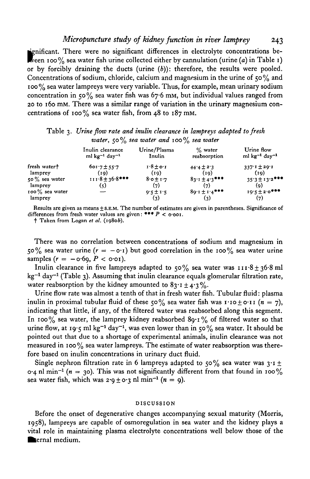*Micropuncture study of kidney function in river lamprey* 243

ignificant. There were no significant differences in electrolyte concentrations be-<br>ween 100% sea water fish urine collected either by cannulation (urine (a) in Table 1) or by forcibly draining the ducts (urine *(b)):* therefore, the results were pooled. Concentrations of sodium, chloride, calcium and magnesium in the urine of 50 % and 100% sea water lampreys were very variable. Thus, for example, mean urinary sodium concentration in 50% sea water fish was 67-6 mM, but individual values ranged from 20 to 160 mM. There was a similar range of variation in the urinary magnesium concentrations of 100% sea water fish, from 48 to 187 mm.

|                         | water, $50\%$ sea water and $100\%$ sea water               |                        |                            |                                              |  |
|-------------------------|-------------------------------------------------------------|------------------------|----------------------------|----------------------------------------------|--|
|                         | Inulin clearance<br>$ml$ kg <sup>-1</sup> day <sup>-1</sup> | Urine/Plasma<br>Inulin | $\%$ water<br>reabsorption | Urine flow<br>ml $kg^{-1}$ day <sup>-1</sup> |  |
| fresh water†<br>lamprey | $601.7 \pm 55.7$<br>(10)                                    | $1.8 \pm 0.1$<br>(19)  | $44.4 \pm 2.3$<br>(i)      | $337:1 \pm 20:1$<br>(19)                     |  |
| 50% sea water           | $111.8 \pm 36.8$ ***                                        | $8.0 \pm 1.7$          | $83.1 \pm 4.3$ ***         | $35.3 \pm 13.2$ ***                          |  |
| lamprey                 | (5)                                                         | (7)                    | (7)                        | (9)                                          |  |
| 100% sea water          |                                                             | $9.5 + 1.5$            | $89.1 \pm 1.4$ ***         | $19.5 \pm 2.0$ ***                           |  |
| lamprey                 |                                                             | (3)                    | (3)                        | (7)                                          |  |

*water,* 50% *sea water and* 100% *sea water*

Table 3. *Urine flow rate and inulin clearance in lampreys adapted to fresh*

Results are given as means  $\pm$  S.E.M. The number of estimates are given in parentheses. Significance of differences from fresh water values are given: \*\*\*  $P < \text{o} \cdot \text{o}$ .<br>† Taken from Logan *et al.* (1980*b*).

There was no correlation between concentrations of sodium and magnesium in 50% sea water urine  $(r = -0.1)$  but good correlation in the 100% sea water urine samples  $(r = -\text{o-6g}, P < \text{o-01}).$ 

Inulin clearance in five lampreys adapted to  $50\%$  sea water was  $111.8 \pm 36.8$  ml kg<sup>-1</sup> day<sup>-1</sup> (Table 3). Assuming that inulin clearance equals glomerular filtration rate, water reabsorption by the kidney amounted to  $83.1 \pm 4.3\%$ .

Urine flow rate was almost a tenth of that in fresh water fish. Tubular fluid: plasma inulin in proximal tubular fluid of these 50% sea water fish was  $1 \cdot 10 \pm 0 \cdot 11$  ( $n = 7$ ), indicating that little, if any, of the filtered water was reabsorbed along this segment. In 100% sea water, the lamprey kidney reabsorbed  $89.1\%$  of filtered water so that urine flow, at 19.5 ml kg<sup>-1</sup> day<sup>-1</sup>, was even lower than in 50% sea water. It should be pointed out that due to a shortage of experimental animals, inulin clearance was not measured in 100 $\%$  sea water lampreys. The estimate of water reabsorption was therefore based on inulin concentrations in urinary duct fluid.

Single nephron filtration rate in 6 lampreys adapted to 50% sea water was  $3 \cdot 1 \pm$  $\alpha$ -4 nl min<sup>-1</sup> (*n* = 30). This was not significantly different from that found in 100% sea water fish, which was  $2.9 \pm 0.3$  nl min<sup>-1</sup> ( $n = 9$ ).

### DISCUSSION

Before the onset of degenerative changes accompanying sexual maturity (Morris, 1958), lampreys are capable of osmoregulation in sea water and the kidney plays a vital role in maintaining plasma electrolyte concentrations well below those of the **•lernal medium.**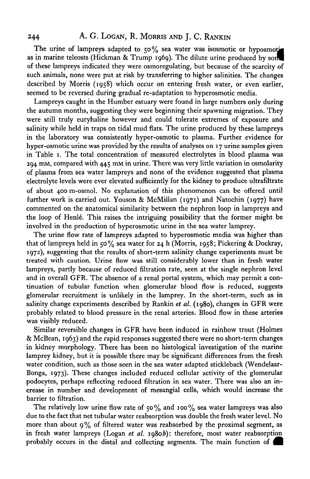# 244 A. G. LOGAN, R. MORRIS AND J. C. RANKIN

The urine of lampreys adapted to  $50\%$  sea water was isosmotic or hyposmotic as in marine teleosts (Hickman & Trump 1969). The dilute urine produced by son of these lampreys indicated they were osmoregulating, but because of the scarcity of such animals, none were put at risk by transferring to higher salinities. The changes described by Morris (1958) which occur on entering fresh water, or even earlier, seemed to be reversed during gradual re-adaptation to hyperosmotic media.

Lampreys caught in the Humber estuary were found in large numbers only during the autumn months, suggesting they were beginning their spawning migration. They were still truly euryhaline however and could tolerate extremes of exposure and salinity while held in traps on tidal mud flats. The urine produced by these lampreys in the laboratory was consistently hyper-osmotic to plasma. Further evidence for hyper-osmotic urine was provided by the results of analyses on 17 urine samples given in Table 1. The total concentration of measured electrolytes in blood plasma was 294 mM, compared with 445 mM in urine. There was very little variation in osmolarity of plasma from sea water lampreys and none of the evidence suggested that plasma electrolyte levels were ever elevated sufficiently for the kidney to produce ultrafiltrate of about 400 m-osmol. No explanation of this phenomenon can be offered until further work is carried out. Youson & McMillan (1971) and Natochin (1977) have commented on the anatomical similarity between the nephron loop in lampreys and the loop of Henlé. This raises the intriguing possibility that the former might be involved in the production of hyperosmotic urine in the sea water lamprey.

The urine flow rate of lampreys adapted to hyperosmotic media was higher than that of lampreys held in 50% sea water for 24 h (Morris, 1958; Pickering & Dockray, 1972), suggesting that the results of short-term salinity change experiments must be treated with caution. Urine flow was still considerably lower than in fresh water lampreys, partly because of reduced filtration rate, seen at the single nephron level and in overall GFR. The absence of a renal portal system, which may permit a continuation of tubular function when glomerular blood flow is reduced, suggests glomerular recruitment is unlikely in the lamprey. In the short-term, such as in salinity change experiments described by Rankin et al. (1980), changes in GFR were probably related to blood pressure in the renal arteries. Blood flow in these arteries was visibly reduced.

Similar reversible changes in GFR have been induced in rainbow trout (Holmes & McBean, 1963) and the rapid responses suggested there were no short-term changes in kidney morphology. There has been no histological investigation of the marine lamprey kidney, but it is possible there may be significant differences from the fresh water condition, such as those seen in the sea water adapted stickleback (Wendelaar-Bonga, 1973). These changes included reduced cellular activity of the glomerular podocytes, perhaps reflecting reduced filtration in sea water. There was also an increase in number and development of mesangial cells, which would increase the barrier to filtration.

The relatively low urine flow rate of 50% and 100% sea water lampreys was also due to the fact that net tubular water reabsorption was double the fresh water level. No more than about  $9\%$  of filtered water was reabsorbed by the proximal segment, as in fresh water lampreys (Logan *et al.* 19806): therefore, most water reabsorption probably occurs in the distal and collecting segments. The main function of ^ |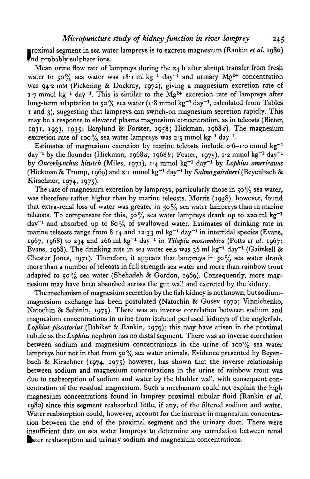I nd probably sulphate ions. roximal segment in sea water lampreys is to excrete magnesium (Rankin *et al.* 1980)

Mean urine flow rate of lampreys during the 24 h after abrupt transfer from fresh water to 50% sea water was  $18 \cdot 1$  ml kg<sup>-1</sup> day<sup>-1</sup> and urinary Mg<sup>2+</sup> concentration was 94-2 mM (Pickering & Dockray, 1972), giving a magnesium excretion rate of  $\mu$ -7 mmol kg<sup>-1</sup> day<sup>-1</sup>. This is similar to the Mg<sup>2+</sup> excretion rate of lampreys after  $\log$ -term adaptation to 50% sea water (1.8 mmol kg<sup>-1</sup> day<sup>-1</sup>, calculated from Tables 1 and 3), suggesting that lampreys can switch-on magnesium secretion rapidly. This may be a response to elevated plasma magnesium concentration, as in teleosts (Bieter, 1931, 1933, 1935; Berglund & Forster, 1958; Hickman, 1968a). The magnesium excretion rate of 100% sea water lampreys was 2.5 mmol kg<sup>-1</sup> day<sup>-1</sup>.

Estimates of magnesium excretion by marine teleosts include  $o·6-r·o$  mmol kg<sup>-1</sup> day<sup>-1</sup> by the flounder (Hickman, 1968a, 1968b; Foster, 1975), 1·2 mmol kg<sup>-1</sup> day<sup>-1</sup> by Oncorhynchus kisutch (Miles, 1971), 1<sup>.</sup>4 mmol kg<sup>-1</sup> day<sup>-1</sup> by Lophius americanus (Hickman & Trump, 1969) and 2-1 mmol kg"<sup>1</sup> day"<sup>1</sup> by *Salmogairdneri* (Beyenbach & Kirschner, 1974, 1975).

The rate of magnesium excretion by lampreys, particularly those in 50 $\%$  sea water, was therefore rather higher than by marine teleosts. Morris (1958), however, found that extra-renal loss of water was greater in  $50\%$  sea water lampreys than in marine teleosts. To compensate for this, 50% sea water lampreys drank up to 220 ml kg<sup>-1</sup> day<sup>-1</sup> and absorbed up to 80% of swallowed water. Estimates of drinking rate in marine teleosts range from 8·14 and 12·33 ml  $\text{kg}^{-1}$  day<sup>-1</sup> in intertidal species (Evans, 1967, 1968) to 234 and 266 ml kg<sup>-1</sup> day<sup>-1</sup> in *Tilapia mossambica* (Potts *et al.* 1967; Evans, 1968). The drinking rate in sea water eels was 36 ml kg<sup>-1</sup> day<sup>-1</sup> (Gaitskell & Chester Jones, 1971). Therefore, it appears that lampreys in  $50\%$  sea water drank more than a number of teleosts in full strength sea water and more than rainbow trout adapted to 50% sea water (Shehadeh & Gordon, 1969). Consequently, more magnesium may have been absorbed across the gut wall and excreted by the kidney.

The mechanism of magnesium secretion by the fish kidney is not known, but sodiummagnesium exchange has been postulated (Natochin & Gusev 1970; Vinnichenko, Natochin & Sabinin, 1975). There was an inverse correlation between sodium and magnesium concentrations in urine from isolated perfused kidneys of the anglerfish, *Lophius piscatorius* (Babiker & Rankin, 1979); this may have arisen in the proximal tubule as the *Lophius* nephron has no distal segment. There was an inverse correlation between sodium and magnesium concentrations in the urine of  $100\%$  sea water lampreys but not in that from 50% sea water animals. Evidence presented by Beyenbach & Kirschner (1974, 1975) however, has shown that the inverse relationship between sodium and magnesium concentrations in the urine of rainbow trout was due to reabsorption of sodium and water by the bladder wall, with consequent concentration of the residual magnesium. Such a mechanism could not explain the high magnesium concentrations found in lamprey proximal tubular fluid (Rankin *et al.* 1980) since this segment reabsorbed little, if any, of the filtered sodium and water. Water reabsorption could, however, account for the increase in magnesium concentration between the end of the proximal segment and the urinary duct. There were insufficient data on sea water lampreys to determine any correlation between renal ater reabsorption and urinary sodium and magnesium concentrations.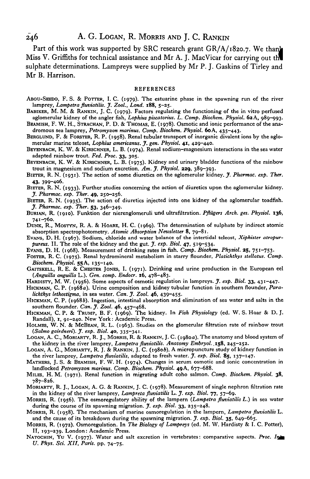Part of this work was supported by SRC research grant GR/A/1820.7. We thank Miss V. Griffiths for technical assistance and Mr A. J. MacVicar for carrying out thl sulphate determinations. Lampreys were supplied by Mr P. J. Gaskins of Tirley and Mr B. Harrison.

#### **REFERENCES**

- ABOU-SKEDO, F. S. & POTTER, I. C. (1979). The estuarine phase in the spawning run of the river **lamprey,** *Lampetra fluviatilis. J. Zool., Lond.* **188, 5-25.**
- BABIKER, M. M. & RANKIN, J. C. (1979). Factors regulating the functioning of the in vitro perfused aglomerular kidney of the angler fish, *Lophius piscatorius. L. Comp. Biochem. Physiol.* 6a A, 989-993.
- BEAMISH, F. W. H., STRACHAN, P. D. & THOMAS, E. (1978). Osmotic and ionic performance of the ana**dromous sea lamprey,** *Petromyzon marinus. Comp. Biochem. Physiol.* **60A, 435-443.**
- BERGLUND, F. & FORSTER, R. P. (1958). Renal tubular transport of inorganic divalent ions by the aglomerular **marine teleost,** *Lophius americanus. J. gen. Physiol.* **41, 429-440.**
- BEYENBACH, K. W. & KIRSCHNER, L. B. (1974). Renal sodium-magnesium interactions in the sea water adapted rainbow trout. *Fed. Proc.* **33,** 305.
- BEYENBACH, K. W. & KIRSCHNER, L. B. (1975). Kidney and urinary bladder functions of the rainbow trout in magnesium and sodium excretion. *Am. J. Physiol.* **229,** 389-393.
- BIETER, R. N. (1931). The action of some diuretics on the aglomerular kidney. *J. Pharmac. exp. Ther.*
- 43, 399-406.<br>BIETER, R. N. (1933). Further studies concerning the action of diuretics upon the aglomerular kidney.<br> *J. Pharmac. exp. Ther.* 49, 250-256.<br>
BIETER, R. N. (1935). The action of diuretics injected into one ki
- 
- BURIAN, R. (1910). Funktion der nierenglomeruli und ultrafiltration. Pflügers Arch. ges. Physiol. 136, 741-760.<br>DUNK, R., MOSTYN, R. A. & HOARE, H. C. (1969). The determination of sulphate by indirect atomic<br>absorption spe
- 
- EVANS, D. H. (1967). Sodium, chloride and water balance of the intertidal teleost, *Xiphister atropur*-
- 
- pureus. II. The role of the kidney and the gut. J. exp. Biol. 47, 519–534.<br>Evans, D. H. (1968). Measurement of drinking rates in fish. Comp. Biochem. Physiol. 25, 751–753.<br>FOSTER, R. C. (1975). Renal hydromineral metabolis *Biochem. Physiol.* **55A, 135-140.** GAITSKELL, R. E. & CHESTER JONES, I. (1971). Drinking and urine production in the European eel
- *(Anguilla anguilla* **L.).** *Gen. comp. Endocr.* **16, 478-483.**
- HARDISTY, M. W. (1956). Some aspects of osmotic regulation in lampreys. *J. exp. Biol.* 33, 431-447.<br>HICKMAN, C. P. (1968*a*). Urine composition and kidney tubular function in southern flounder, *Para-*
- *lichthys lethostigma*, in sea water. *Can. J. Zool.* 46, 439–455.<br>HICKMAN, C. P. (1968*b*). Ingestion, intestinal absorption and elimination of sea water and salts in the
- 
- southern flounder. Can. J. Zool. 46, 457-468.<br>HICKMAN, C. P. & TRUMP, B. F. (1969). The kidney. In Fish Physiology (ed. W. S. Hoar & D. J.<br>Randall), x, 91-240. New York: Academic Press.<br>HOLMES, W. N. & MCBEAN, R. L. (1963)
- 
- LOGAN, A. C., MORIARTY, R. J., MORRIS, R. & RANKIN, J. C. (1980a). The anatomy and blood system of the kidney in the river lamprey, *Lampetra fluviatilis. Anatomy Embryol.* 158, 245-252.
- LOGAN, A. G., MORIARTY, R. J. & RANKIN, J. C. (1980b). A micropuncture study of kidney function in the river lamprey, *Lampetra fluviatilis,* adapted to fresh water, *jf. exp. Biol.* **85,** 137-147. MATHERS, J. S. & BEAMISH, F. W. H. (1974). Changes in serum osmotic and ionic concentration in
- **landlocked** *Petromyzon marinus. Comp. Biochem. Physiol.* **49A, 677-688.** MILES, H. M. (1971). Renal function in migrating adult coho salmon. *Comp. Biochem. Physiol.* **38,**
- 787-826.
- MORIARTY, R. J., LOGAN, A. G. & RANKIN, J. C. (1978). Measurement of single nephron filtration rate
- in the kidney of the river lamprey, *Lampreta fluviatilis* L. *J. exp. Biol.* 77, 57-69.<br>MORRIS, R. (1956). The osmoregulatory ability of the lampern (*Lampetra fluviatilis L.*) in sea water<br>during the course of its spawni
- MORRIS, R. (1958). The mechanism of marine osmoregulation in the lampern, Lampetra fluviatilis L. and the cause of its breakdown during the spawning migration. *J. exp. Biol.* **35,** 649-665. MORRIS, R. (1972). Osmoregulation. In *The Biology of Lampreys* (ed. M. W. Hardisty & I. C. Potter),
- II, 193-239. London: Academic Press.<br>NATOCHIN, YU V. (1977). Water and salt excretion in vertebrates: comparative aspects. *Proc. In*
- *U. Phys. Sci. XII, Paris,* **pp. 74-75.**